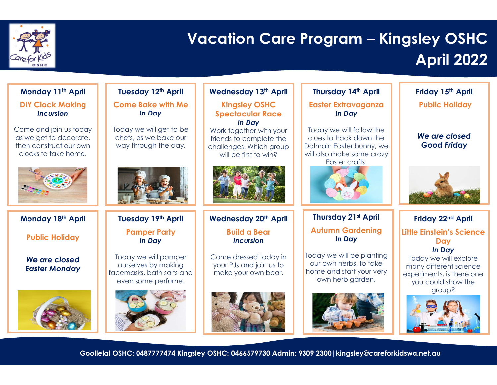

## Vacation Care Program – Kingsley OSHC April 2022